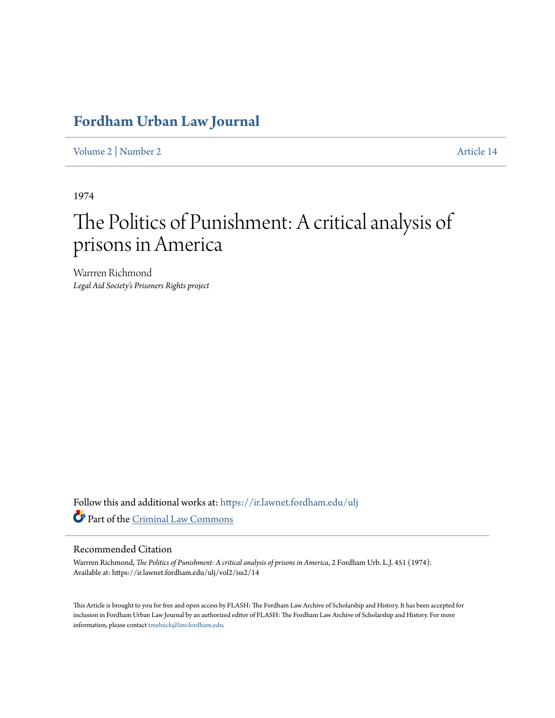## **[Fordham Urban Law Journal](https://ir.lawnet.fordham.edu/ulj?utm_source=ir.lawnet.fordham.edu%2Fulj%2Fvol2%2Fiss2%2F14&utm_medium=PDF&utm_campaign=PDFCoverPages)**

[Volume 2](https://ir.lawnet.fordham.edu/ulj/vol2?utm_source=ir.lawnet.fordham.edu%2Fulj%2Fvol2%2Fiss2%2F14&utm_medium=PDF&utm_campaign=PDFCoverPages) | [Number 2](https://ir.lawnet.fordham.edu/ulj/vol2/iss2?utm_source=ir.lawnet.fordham.edu%2Fulj%2Fvol2%2Fiss2%2F14&utm_medium=PDF&utm_campaign=PDFCoverPages) [Article 14](https://ir.lawnet.fordham.edu/ulj/vol2/iss2/14?utm_source=ir.lawnet.fordham.edu%2Fulj%2Fvol2%2Fiss2%2F14&utm_medium=PDF&utm_campaign=PDFCoverPages)

1974

# The Politics of Punishment: A critical analysis of prisons in America

Warrren Richmond *Legal Aid Society's Prisoners Rights project*

Follow this and additional works at: [https://ir.lawnet.fordham.edu/ulj](https://ir.lawnet.fordham.edu/ulj?utm_source=ir.lawnet.fordham.edu%2Fulj%2Fvol2%2Fiss2%2F14&utm_medium=PDF&utm_campaign=PDFCoverPages) Part of the [Criminal Law Commons](http://network.bepress.com/hgg/discipline/912?utm_source=ir.lawnet.fordham.edu%2Fulj%2Fvol2%2Fiss2%2F14&utm_medium=PDF&utm_campaign=PDFCoverPages)

#### Recommended Citation

Warrren Richmond, *The Politics of Punishment: A critical analysis of prisons in America*, 2 Fordham Urb. L.J. 451 (1974). Available at: https://ir.lawnet.fordham.edu/ulj/vol2/iss2/14

This Article is brought to you for free and open access by FLASH: The Fordham Law Archive of Scholarship and History. It has been accepted for inclusion in Fordham Urban Law Journal by an authorized editor of FLASH: The Fordham Law Archive of Scholarship and History. For more information, please contact [tmelnick@law.fordham.edu](mailto:tmelnick@law.fordham.edu).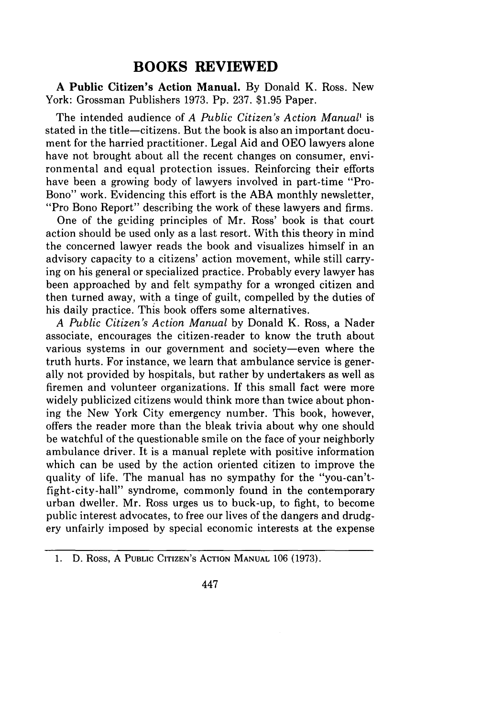### **BOOKS REVIEWED**

**A Public Citizen's Action Manual. By** Donald K. Ross. New York: Grossman Publishers **1973. Pp. 237. \$1.95** Paper.

The intended audience of *A Public Citizen's Action Manual'* is stated in the title—citizens. But the book is also an important document for the harried practitioner. Legal Aid and **OEO** lawyers alone have not brought about all the recent changes on consumer, environmental and equal protection issues. Reinforcing their efforts have been a growing body of lawyers involved in part-time "Pro-Bono" work. Evidencing this effort is the **ABA** monthly newsletter, "Pro Bono Report" describing the work of these lawyers and firms.

One of the guiding principles of Mr. Ross' book is that court action should be used only as a last resort. With this theory in mind the concerned lawyer reads the book and visualizes himself in an advisory capacity to a citizens' action movement, while still carrying on his general or specialized practice. Probably every lawyer has been approached **by** and felt sympathy for a wronged citizen and then turned away, with a tinge of guilt, compelled **by** the duties of his daily practice. This book offers some alternatives.

*<sup>A</sup>Public Citizen's Action Manual* **by** Donald K. Ross, a Nader associate, encourages the citizen-reader to know the truth about various systems in our government and society-even where the truth hurts. For instance, we learn that ambulance service is generally not provided **by** hospitals, but rather **by** undertakers as well as firemen and volunteer organizations. **If** this small fact were more widely publicized citizens would think more than twice about phoning the New York City emergency number. This book, however, offers the reader more than the bleak trivia about why one should be watchful of the questionable smile on the face of your neighborly ambulance driver. It is a manual replete with positive information which can be used **by** the action oriented citizen to improve the quality of life. The manual has no sympathy for the "you-can'tfight-city-hall" syndrome, commonly found in the contemporary urban dweller. Mr. Ross urges us to buck-up, to fight, to become public interest advocates, to free our lives of the dangers and drudgery unfairly imposed **by** special economic interests at the expense

<sup>1.</sup> D. Ross, A **PUBLIC CITIZEN'S ACTION MANUAL 106** (1973).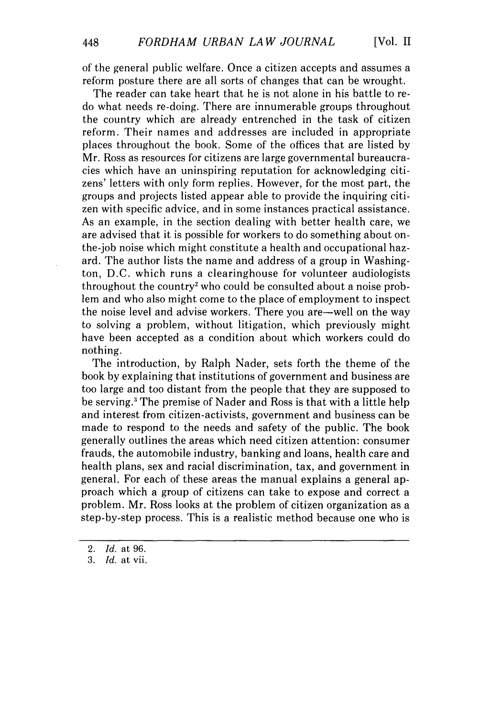**[Vol.** II

of the general public welfare. Once a citizen accepts and assumes a reform posture there are all sorts of changes that can be wrought.

The reader can take heart that he is not alone in his battle to redo what needs re-doing. There are innumerable groups throughout the country which are already entrenched in the task of citizen reform. Their names and addresses are included in appropriate places throughout the book. Some of the offices that are listed by Mr. Ross as resources for citizens are large governmental bureaucracies which have an uninspiring reputation for acknowledging citizens' letters with only form replies. However, for the most part, the groups and projects listed appear able to provide the inquiring citizen with specific advice, and in some instances practical assistance. As an example, in the section dealing with better health care, we are advised that it is possible for workers to do something about onthe-job noise which might constitute a health and occupational hazard. The author lists the name and address of a group in Washington, D.C. which runs a clearinghouse for volunteer audiologists throughout the country2 who could be consulted about a noise problem and who also might come to the place of employment to inspect the noise level and advise workers. There you are—well on the way to solving a problem, without litigation, which previously might have been accepted as a condition about which workers could do nothing.

The introduction, by Ralph Nader, sets forth the theme of the book by explaining that institutions of government and business are too large and too distant from the people that they are supposed to be serving. : The premise of Nader and Ross is that with a little help and interest from citizen-activists, government and business can be made to respond to the needs and safety of the public. The book generally outlines the areas which need citizen attention: consumer frauds, the automobile industry, banking and loans, health care and health plans, sex and racial discrimination, tax, and government in general. For each of these areas the manual explains a general approach which a group of citizens can take to expose and correct a problem. Mr. Ross looks at the problem of citizen organization as a step-by-step process. This is a realistic method because one who is

<sup>2.</sup> *Id.* at 96.

<sup>3.</sup> *Id.* at vii.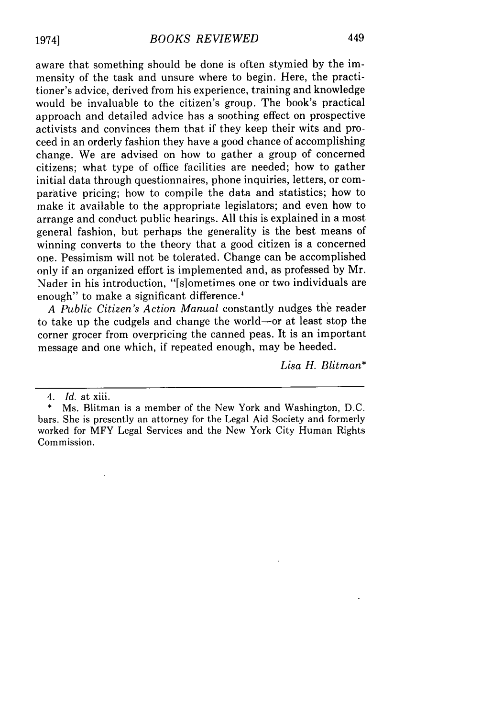aware that something should be done is often stymied by the immensity of the task and unsure where to begin. Here, the practitioner's advice, derived from his experience, training and knowledge would be invaluable to the citizen's group. The book's practical approach and detailed advice has a soothing effect on prospective activists and convinces them that if they keep their wits and proceed in an orderly fashion they have a good chance of accomplishing change. We are advised on how to gather a group of concerned citizens; what type of office facilities are needed; how to gather initial data through questionnaires, phone inquiries, letters, or comparative pricing; how to compile the data and statistics; how to make it available to the appropriate legislators; and even how to arrange and conduct public hearings. All this is explained in a most general fashion, but perhaps the generality is the best means of winning converts to the theory that a good citizen is a concerned one. Pessimism will not be tolerated. Change can be accomplished only if an organized effort is implemented and, as professed by Mr. Nader in his introduction, "[slometimes one or two individuals are enough" to make a significant difference.<sup>4</sup>

*A Public Citizen's Action Manual* constantly nudges the reader to take up the cudgels and change the world-or at least stop the corner grocer from overpricing the canned peas. It is an important message and one which, if repeated enough, may be heeded.

*Lisa H. Blitman\**

19741

*<sup>4.</sup> Id.* at xiii.

Ms. Blitman is a member of the New York and Washington, D.C. bars. She is presently an attorney for the Legal Aid Society and formerly worked for MFY Legal Services and the New York City Human Rights Commission.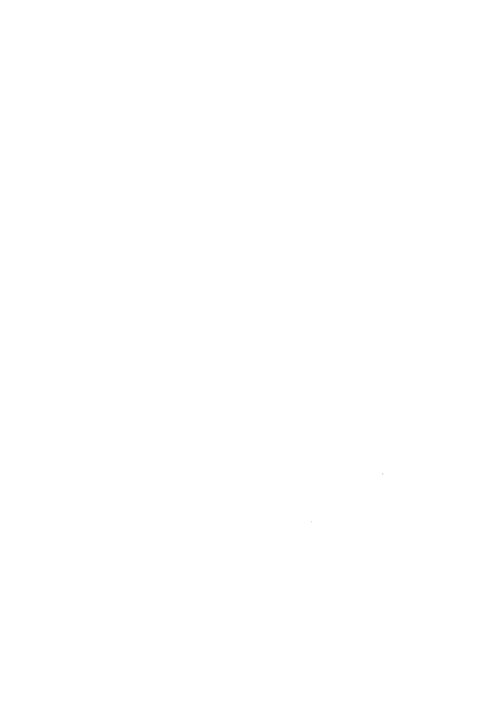$\label{eq:2.1} \mathcal{L}(\mathcal{L}^{\text{max}}_{\mathcal{L}}(\mathcal{L}^{\text{max}}_{\mathcal{L}}))\leq \mathcal{L}(\mathcal{L}^{\text{max}}_{\mathcal{L}}(\mathcal{L}^{\text{max}}_{\mathcal{L}}))$  $\label{eq:2.1} \frac{1}{\sqrt{2}}\int_{\mathbb{R}^3} \frac{1}{\sqrt{2}}\left(\frac{1}{\sqrt{2}}\right)^2\left(\frac{1}{\sqrt{2}}\right)^2\left(\frac{1}{\sqrt{2}}\right)^2\left(\frac{1}{\sqrt{2}}\right)^2\left(\frac{1}{\sqrt{2}}\right)^2\left(\frac{1}{\sqrt{2}}\right)^2\left(\frac{1}{\sqrt{2}}\right)^2\left(\frac{1}{\sqrt{2}}\right)^2\left(\frac{1}{\sqrt{2}}\right)^2\left(\frac{1}{\sqrt{2}}\right)^2\left(\frac{1}{\sqrt{2}}\right)^2\left(\$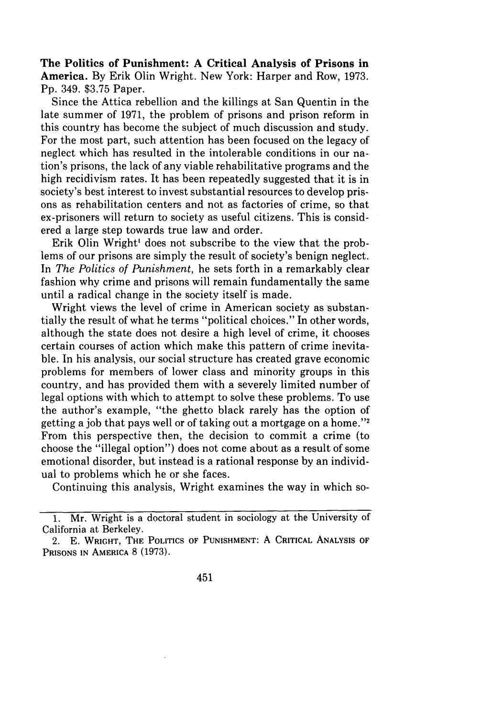**The Politics of Punishment: A Critical Analysis of Prisons in America.** By Erik Olin Wright. New York: Harper and Row, 1973. **Pp.** 349. \$3.75 Paper.

Since the Attica rebellion and the killings at San Quentin in the late summer of 1971, the problem of prisons and prison reform in this country has become the subject of much discussion and study. For the most part, such attention has been focused on the legacy of neglect which has resulted in the intolerable conditions in our nation's prisons, the lack of any viable rehabilitative programs and the high recidivism rates. It has been repeatedly suggested that it is in society's best interest to invest substantial resources to develop prisons as rehabilitation centers and not as factories of crime, so that ex-prisoners will return to society as useful citizens. This is considered a large step towards true law and order.

Erik Olin Wright' does not subscribe to the view that the problems of our prisons are simply the result of society's benign neglect. In *The Politics of Punishment,* he sets forth in a remarkably clear fashion why crime and prisons will remain fundamentally the same until a radical change in the society itself is made.

Wright views the level of crime in American society as substantially the result of what he terms "political choices." In other words, although the state does not desire a high level of crime, it chooses certain courses of action which make this pattern of crime inevitable. In his analysis, our social structure has created grave economic problems for members of lower class and minority groups in this country, and has provided them with a severely limited number of legal options with which to attempt to solve these problems. To use the author's example, "the ghetto black rarely has the option of getting a job that pays well or of taking out a mortgage on a home."' From this perspective then, the decision to commit a crime (to choose the "illegal option") does not come about as a result of some emotional disorder, but instead is a rational response by an individual to problems which he or she faces.

Continuing this analysis, Wright examines the way in which so-

451

**<sup>1.</sup>** Mr. Wright is a doctoral student in sociology at the University of California at Berkeley.

<sup>2.</sup> E. WRIGHT, THE **POLITICS OF PUNISHMENT:** A **CRITICAL** ANALYSIS **OF** PRISONS IN AMERICA 8 (1973).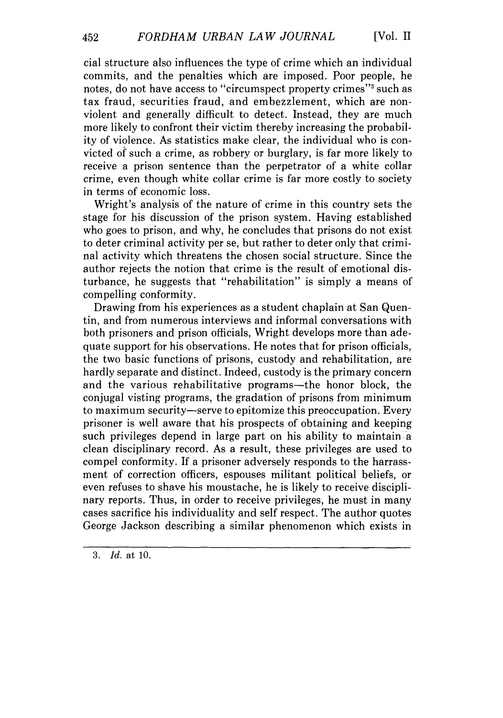cial structure also influences the type of crime which an individual commits, and the penalties which are imposed. Poor people, he notes, do not have access to "circumspect property crimes"3 such as tax fraud, securities fraud, and embezzlement, which are nonviolent and generally difficult to detect. Instead, they are much more likely to confront their victim thereby increasing the probability of violence. As statistics make clear, the individual who is convicted of such a crime, as robbery or burglary, is far more likely to receive a prison sentence than the perpetrator of a white collar crime, even though white collar crime is far more costly to society in terms of economic loss.

Wright's analysis of the nature of crime in this country sets the stage for his discussion of the prison system. Having established who goes to prison, and why, he concludes that prisons do not exist to deter criminal activity per se, but rather to deter only that criminal activity which threatens the chosen social structure. Since the author rejects the notion that crime is the result of emotional disturbance, he suggests that "rehabilitation" is simply a means of compelling conformity.

Drawing from his experiences as a student chaplain at San Quentin, and from numerous interviews and informal conversations with both prisoners and prison officials, Wright develops more than adequate support for his observations. He notes that for prison officials, the two basic functions of prisons, custody and rehabilitation, are hardly separate and distinct. Indeed, custody is the primary concern and the various rehabilitative programs—the honor block, the conjugal visting programs, the gradation of prisons from minimum to maximum security—serve to epitomize this preoccupation. Every prisoner is well aware that his prospects of obtaining and keeping such privileges depend in large part on his ability to maintain a clean disciplinary record. As a result, these privileges are used to compel conformity. If a prisoner adversely responds to the harrassment of correction officers, espouses militant political beliefs, or even refuses to shave his moustache, he is likely to receive disciplinary reports. Thus, in order to receive privileges, he must in many cases sacrifice his individuality and self respect. The author quotes George Jackson describing a similar phenomenon which exists in

*3. Id.* at 10.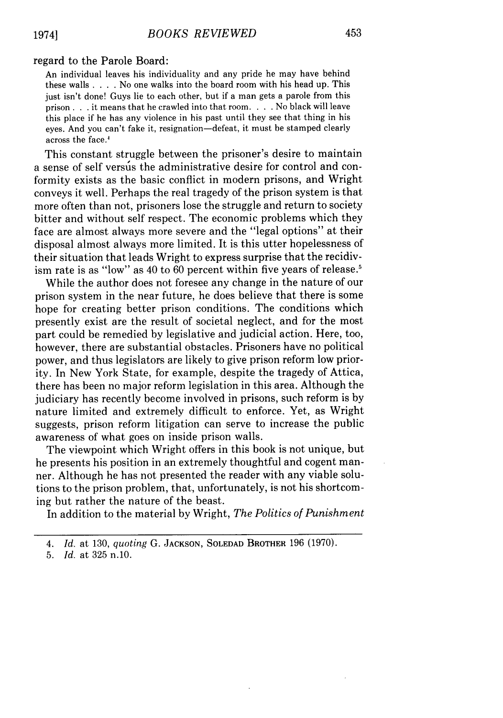#### regard to the Parole Board:

An individual leaves his individuality and any pride he may have behind these walls . **. .** . No one walks into the board room with his head up. This just isn't done! Guys lie to each other, but if a man gets a parole from this prison **. . .** it means that he crawled into that room. . **.** . No black will leave this place if he has any violence in his past until they see that thing in his eyes. And you can't fake it, resignation-defeat, it must be stamped clearly across the face.'

This constant struggle between the prisoner's desire to maintain a sense of self versus the administrative desire for control and conformity exists as the basic conflict in modern prisons, and Wright conveys it well. Perhaps the real tragedy of the prison system is that more often than not, prisoners lose the struggle and return to society bitter and without self respect. The economic problems which they face are almost always more severe and the "legal options" at their disposal almost always more limited. It is this utter hopelessness of their situation that leads Wright to express surprise that the recidivism rate is as "low" as 40 to 60 percent within five years of release.<sup>5</sup>

While the author does not foresee any change in the nature of our prison system in the near future, he does believe that there is some hope for creating better prison conditions. The conditions which presently exist are the result of societal neglect, and for the most part could be remedied by legislative and judicial action. Here, too, however, there are substantial obstacles. Prisoners have no political power, and thus legislators are likely to give prison reform low priority. In New York State, for example, despite the tragedy of Attica, there has been no major reform legislation in this area. Although the judiciary has recently become involved in prisons, such reform is by nature limited and extremely difficult to enforce. Yet, as Wright suggests, prison reform litigation can serve to increase the public awareness of what goes on inside prison walls.

The viewpoint which Wright offers in this book is not unique, but he presents his position in an extremely thoughtful and cogent manner. Although he has not presented the reader with any viable solutions to the prison problem, that, unfortunately, is not his shortcoming but rather the nature of the beast.

In addition to the material by Wright, *The Politics of Punishment*

<sup>4.</sup> *Id.* at 130, *quoting* G. **JACKSON, SOLEDAD** BROTHER 196 (1970).

<sup>5.</sup> *Id.* at 325 n.10.